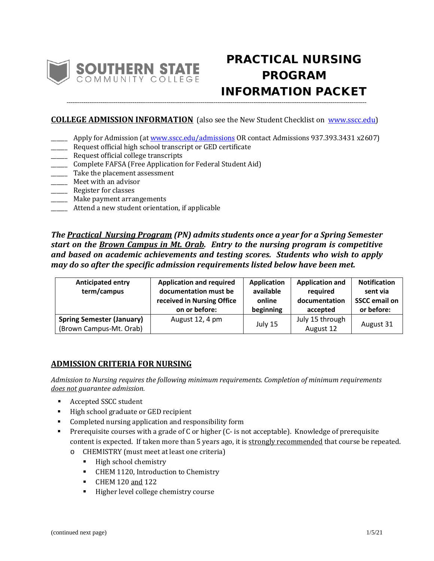

# PRACTICAL NURSING PROGRAM INFORMATION PACKET

# **COLLEGE ADMISSION INFORMATION** (also see the New Student Checklist on [www.sscc.edu\)](http://www.sscc.edu/)

**---------------------------------------------------------------------------------------------------------------------------------------------------------------**

- \_\_\_\_\_\_ Apply for Admission (a[t www.sscc.edu/admissions](http://www.sscc.edu/admissions) OR contact Admissions 937.393.3431 x2607)
- **EXECUTE:** Request official high school transcript or GED certificate
- \_\_\_\_\_\_ Request official college transcripts
- \_\_\_\_\_\_ Complete FAFSA (Free Application for Federal Student Aid)
- \_\_\_\_\_\_ Take the placement assessment
- \_\_\_\_\_\_ Meet with an advisor
- \_\_\_\_\_\_ Register for classes
- \_\_\_\_\_\_ Make payment arrangements
- \_\_\_\_\_\_ Attend a new student orientation, if applicable

*The Practical Nursing Program (PN) admits students once a year for a Spring Semester start on the Brown Campus in Mt. Orab. Entry to the nursing program is competitive and based on academic achievements and testing scores. Students who wish to apply may do so after the specific admission requirements listed below have been met.*

| <b>Anticipated entry</b><br>term/campus                     | <b>Application and required</b><br>documentation must be<br>received in Nursing Office<br>on or before: | <b>Application</b><br>available<br>online<br>beginning | <b>Application and</b><br>reauired<br>documentation<br>accepted | <b>Notification</b><br>sent via<br><b>SSCC email on</b><br>or before: |
|-------------------------------------------------------------|---------------------------------------------------------------------------------------------------------|--------------------------------------------------------|-----------------------------------------------------------------|-----------------------------------------------------------------------|
| <b>Spring Semester (January)</b><br>(Brown Campus-Mt. Orab) | August 12, 4 pm                                                                                         | July 15                                                | July 15 through<br>August 12                                    | August 31                                                             |

# **ADMISSION CRITERIA FOR NURSING**

*Admission to Nursing requires the following minimum requirements. Completion of minimum requirements does not guarantee admission.*

- Accepted SSCC student
- High school graduate or GED recipient
- Completed nursing application and responsibility form
- Prerequisite courses with a grade of C or higher (C- is not acceptable). Knowledge of prerequisite content is expected. If taken more than 5 years ago, it is strongly recommended that course be repeated.
	- o CHEMISTRY (must meet at least one criteria)
		- High school chemistry
		- **CHEM 1120, Introduction to Chemistry**
		- CHEM 120 and 122
		- **Higher level college chemistry course**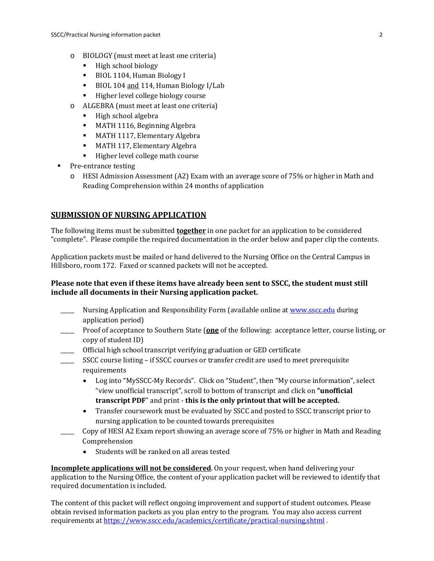- o BIOLOGY (must meet at least one criteria)
	- High school biology
	- BIOL 1104, Human Biology I
	- BIOL 104 and 114, Human Biology I/Lab
	- Higher level college biology course
- o ALGEBRA (must meet at least one criteria)
	- High school algebra
	- **MATH 1116, Beginning Algebra**
	- **MATH 1117, Elementary Algebra**
	- **MATH 117, Elementary Algebra**
	- Higher level college math course
- Pre-entrance testing
	- o HESI Admission Assessment (A2) Exam with an average score of 75% or higher in Math and Reading Comprehension within 24 months of application

# **SUBMISSION OF NURSING APPLICATION**

The following items must be submitted **together** in one packet for an application to be considered "complete". Please compile the required documentation in the order below and paper clip the contents.

Application packets must be mailed or hand delivered to the Nursing Office on the Central Campus in Hillsboro, room 172. Faxed or scanned packets will not be accepted.

# **Please note that even if these items have already been sent to SSCC, the student must still include all documents in their Nursing application packet.**

- \_\_\_\_\_ Nursing Application and Responsibility Form (available online at [www.sscc.edu](http://www.sscc.edu/) during application period)
- \_\_\_\_\_ Proof of acceptance to Southern State (**one** of the following: acceptance letter, course listing, or copy of student ID)
- \_\_\_\_\_ Official high school transcript verifying graduation or GED certificate
- SSCC course listing if SSCC courses or transfer credit are used to meet prerequisite requirements
	- Log into "MySSCC-My Records". Click on "Student", then "My course information", select "view unofficial transcript", scroll to bottom of transcript and click on **"unofficial transcript PDF**" and print - **this is the only printout that will be accepted.**
	- Transfer coursework must be evaluated by SSCC and posted to SSCC transcript prior to nursing application to be counted towards prerequisites
- \_\_\_\_\_ Copy of HESI A2 Exam report showing an average score of 75% or higher in Math and Reading Comprehension
	- Students will be ranked on all areas tested

**Incomplete applications will not be considered**. On your request, when hand delivering your application to the Nursing Office, the content of your application packet will be reviewed to identify that required documentation is included.

The content of this packet will reflect ongoing improvement and support of student outcomes. Please obtain revised information packets as you plan entry to the program. You may also access current requirements a[t https://www.sscc.edu/academics/certificate/practical-nursing.shtml](https://www.sscc.edu/academics/certificate/practical-nursing.shtml) .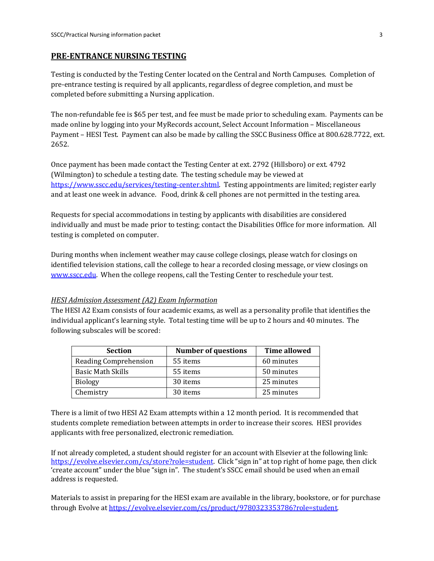#### **PRE-ENTRANCE NURSING TESTING**

Testing is conducted by the Testing Center located on the Central and North Campuses. Completion of pre-entrance testing is required by all applicants, regardless of degree completion, and must be completed before submitting a Nursing application.

The non-refundable fee is \$65 per test, and fee must be made prior to scheduling exam. Payments can be made online by logging into your MyRecords account, Select Account Information – Miscellaneous Payment – HESI Test. Payment can also be made by calling the SSCC Business Office at 800.628.7722, ext. 2652.

Once payment has been made contact the Testing Center at ext. 2792 (Hillsboro) or ext. 4792 (Wilmington) to schedule a testing date. The testing schedule may be viewed at [https://www.sscc.edu/services/testing-center.shtml.](https://www.sscc.edu/services/testing-center.shtml) Testing appointments are limited; register early and at least one week in advance. Food, drink & cell phones are not permitted in the testing area.

Requests for special accommodations in testing by applicants with disabilities are considered individually and must be made prior to testing; contact the Disabilities Office for more information. All testing is completed on computer.

During months when inclement weather may cause college closings, please watch for closings on identified television stations, call the college to hear a recorded closing message, or view closings on [www.sscc.edu.](http://www.sscc.edu/) When the college reopens, call the Testing Center to reschedule your test.

#### *HESI Admission Assessment (A2) Exam Information*

The HESI A2 Exam consists of four academic exams, as well as a personality profile that identifies the individual applicant's learning style. Total testing time will be up to 2 hours and 40 minutes. The following subscales will be scored:

| <b>Section</b>           | <b>Number of questions</b> | <b>Time allowed</b> |
|--------------------------|----------------------------|---------------------|
| Reading Comprehension    | 55 items                   | 60 minutes          |
| <b>Basic Math Skills</b> | 55 items                   | 50 minutes          |
| <b>Biology</b>           | 30 items                   | 25 minutes          |
| Chemistry                | 30 items                   | 25 minutes          |

There is a limit of two HESI A2 Exam attempts within a 12 month period. It is recommended that students complete remediation between attempts in order to increase their scores. HESI provides applicants with free personalized, electronic remediation.

If not already completed, a student should register for an account with Elsevier at the following link: [https://evolve.elsevier.com/cs/store?role=student.](https://evolve.elsevier.com/cs/store?role=student) Click "sign in" at top right of home page, then click 'create account" under the blue "sign in". The student's SSCC email should be used when an email address is requested.

Materials to assist in preparing for the HESI exam are available in the library, bookstore, or for purchase through Evolve at [https://evolve.elsevier.com/cs/product/9780323353786?role=student.](https://evolve.elsevier.com/cs/product/9780323353786?role=student)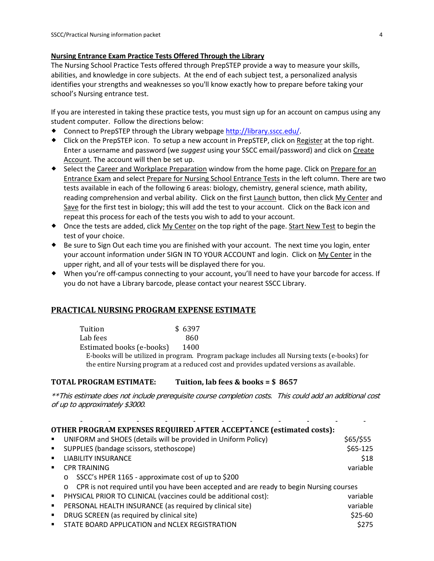#### **Nursing Entrance Exam Practice Tests Offered Through the Library**

The Nursing School Practice Tests offered through PrepSTEP provide a way to measure your skills, abilities, and knowledge in core subjects. At the end of each subject test, a personalized analysis identifies your strengths and weaknesses so you'll know exactly how to prepare before taking your school's Nursing entrance test.

If you are interested in taking these practice tests, you must sign up for an account on campus using any student computer. Follow the directions below:

- ◆ Connect to PrepSTEP through the Library webpage [http://library.sscc.edu/.](http://library.sscc.edu/)
- Click on the PrepSTEP icon. To setup a new account in PrepSTEP, click on Register at the top right. Enter a username and password (we *suggest* using your SSCC email/password) and click on Create Account. The account will then be set up.
- ◆ Select the Career and Workplace Preparation window from the home page. Click on Prepare for an Entrance Exam and select Prepare for Nursing School Entrance Tests in the left column. There are two tests available in each of the following 6 areas: biology, chemistry, general science, math ability, reading comprehension and verbal ability. Click on the first Launch button, then click My Center and Save for the first test in biology; this will add the test to your account. Click on the Back icon and repeat this process for each of the tests you wish to add to your account.
- Once the tests are added, click My Center on the top right of the page. Start New Test to begin the test of your choice.
- Be sure to Sign Out each time you are finished with your account. The next time you login, enter your account information under SIGN IN TO YOUR ACCOUNT and login. Click on My Center in the upper right, and all of your tests will be displayed there for you.
- When you're off-campus connecting to your account, you'll need to have your barcode for access. If you do not have a Library barcode, please contact your nearest SSCC Library.

# **PRACTICAL NURSING PROGRAM EXPENSE ESTIMATE**

| Tuition                                           | \$6397 |
|---------------------------------------------------|--------|
| Lab fees                                          | 860    |
| Estimated books (e-books)                         | 1400   |
| E-hooks will be utilized in program Program packs |        |

E-books will be utilized in program. Program package includes all Nursing texts (e-books) for the entire Nursing program at a reduced cost and provides updated versions as available.

# **TOTAL PROGRAM ESTIMATE: Tuition, lab fees & books = \$ 8657**

\*\*This estimate does not include prerequisite course completion costs. This could add an additional cost of up to approximately \$3000.

| <b>OTHER PROGRAM EXPENSES REQUIRED AFTER ACCEPTANCE (estimated costs):</b> |                                                                                                    |             |  |  |  |
|----------------------------------------------------------------------------|----------------------------------------------------------------------------------------------------|-------------|--|--|--|
|                                                                            | UNIFORM and SHOES (details will be provided in Uniform Policy)                                     | $$65/$ \$55 |  |  |  |
| $\blacksquare$                                                             | SUPPLIES (bandage scissors, stethoscope)                                                           | $$65-125$   |  |  |  |
| $\blacksquare$                                                             | <b>LIABILITY INSURANCE</b>                                                                         | \$18        |  |  |  |
| $\blacksquare$                                                             | <b>CPR TRAINING</b>                                                                                | variable    |  |  |  |
|                                                                            | SSCC's HPER 1165 - approximate cost of up to \$200<br>$\circ$                                      |             |  |  |  |
|                                                                            | CPR is not required until you have been accepted and are ready to begin Nursing courses<br>$\circ$ |             |  |  |  |
| $\blacksquare$                                                             | PHYSICAL PRIOR TO CLINICAL (vaccines could be additional cost):                                    | variable    |  |  |  |
| $\blacksquare$                                                             | PERSONAL HEALTH INSURANCE (as required by clinical site)                                           | variable    |  |  |  |
|                                                                            | DRUG SCREEN (as required by clinical site)                                                         | $$25-60$    |  |  |  |
| $\blacksquare$                                                             | STATE BOARD APPLICATION and NCLEX REGISTRATION                                                     | \$275       |  |  |  |